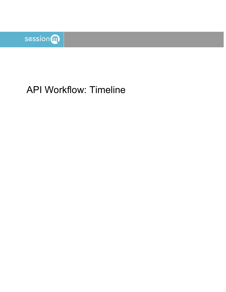

# API Workflow: Timeline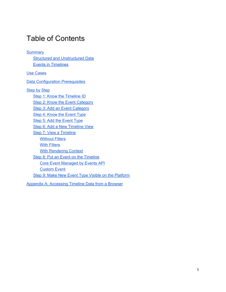## Table of Contents

**[Summary](#page-2-0) Structured and [Unstructured](#page-2-1) Data** Events in [Timelines](#page-3-0) Use [Cases](#page-3-1) Data [Configuration](#page-3-2) Prerequisites [Step](#page-4-0) by Step Step 1: Know the [Timeline](#page-5-0) ID Step 2: Know the Event [Category](#page-6-0) Step 3: Add an Event [Category](#page-7-0) Step 4: Know the [Event](#page-8-0) Type Step 5: Add the [Event](#page-9-0) Type Step 6: Add a New [Timeline](#page-10-0) View **Step 7: View a [Timeline](#page-11-0)** [Without](#page-11-1) Filters With [Filters](#page-14-0) With [Rendering](#page-15-0) Context Step 8: Put an Event on the [Timeline](#page-18-0) Core Event [Managed](#page-18-1) by Events API [Custom](#page-19-0) Event Step 9: Make New Event Type Visible on the [Platform](#page-20-0)

Appendix A: [Accessing](#page-24-0) Timeline Data from a Browser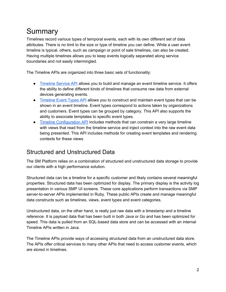## <span id="page-2-0"></span>Summary

Timelines record various types of temporal events, each with its own different set of data attributes. There is no limit to the size or type of timeline you can define. While a user event timeline is typical, others, such as campaign or point of sale timelines, can also be created. Having multiple timelines allows you to keep events logically separated along service boundaries and not easily intermingled.

The Timeline APIs are organized into three basic sets of functionality:

- [Timeline](https://docs.sessionm.com/server2server/#timeline-service-api) Service API allows you to build and manage an event timeline service. It offers the ability to define different kinds of timelines that consume raw data from external devices generating events.
- [Timeline](https://docs.sessionm.com/server2server/#timeline-event-types-api) Event Types API allows you to construct and maintain event types that can be shown in an event timeline. Event types correspond to actions taken by organizations and customers. Event types can be grouped by category. This API also supports the ability to associate templates to specific event types.
- Timeline [Configuration](https://docs.sessionm.com/server2server/#timeline-configuration-api) API includes methods that can constrain a very large timeline with views that read from the timeline service and inject context into the raw event data being presented. This API includes methods for creating event templates and rendering contexts for these views.

### <span id="page-2-1"></span>Structured and Unstructured Data

The SM Platform relies on a combination of structured and unstructured data storage to provide our clients with a high performance solution.

Structured data can be a timeline for a specific customer and likely contains several meaningful properties. Structured data has been optimized for display. The primary display is the activity log presentation in various SMP UI screens. These core applications perform transactions via SMP server-to-server APIs implemented in Ruby. These public APIs create and manage meaningful data constructs such as timelines, views, event types and event categories.

Unstructured data, on the other hand, is really just raw data with a timestamp and a timeline reference. It is payload data that has been built in both Java or Go and has been optimized for speed. This data is pulled from an SQL-based data store and can be accessed with an internal Timeline APIs written in Java.

The Timeline APIs provide ways of accessing structured data from an unstructured data store. The APIs offer critical services to many other APIs that need to access customer events, which are stored in timelines.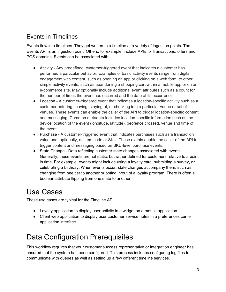### <span id="page-3-0"></span>Events in Timelines

Events flow into timelines. They get written to a timeline at a variety of ingestion points. The Events API is an ingestion point. Others, for example, include APIs for transactions, offers and POS domains. Events can be associated with:

- Activity Any predefined, customer-triggered event that indicates a customer has performed a particular behavior. Examples of basic activity events range from digital engagement with content, such as opening an app or clicking on a web form, to other simple activity events, such as abandoning a shopping cart within a mobile app or on an e-commerce site. May optionally include additional event attributes such as a count for the number of times the event has occurred and the date of its occurrence.
- Location A customer-triggered event that indicates a location-specific activity such as a customer entering, leaving, staying at, or checking into a particular venue or set of venues. These events can enable the caller of the API to trigger location-specific content and messaging. Common metadata includes location-specific information such as the device location of the event (longitude, latitude), geofence crossed, venue and time of the event.
- Purchase A customer-triggered event that indicates purchases such as a transaction value and, optionally, an item code or SKU. These events enable the caller of the API to trigger content and messaging based on SKU-level purchase events.
- State Change Data reflecting customer state changes associated with events. Generally, these events are not static, but rather defined for customers relative to a point in time. For example, events might include using a loyalty card, submitting a survey, or celebrating a birthday. When events occur, state changes accompany them, such as changing from one tier to another or opting in/out of a loyalty program. There is often a boolean attribute flipping from one state to another.

## <span id="page-3-1"></span>Use Cases

These use cases are typical for the Timeline API:

- Loyalty application to display user activity in a widget on a mobile application.
- Client web application to display user customer service notes in a preferences center application interface.

## <span id="page-3-2"></span>Data Configuration Prerequisites

This workflow requires that your customer success representative or integration engineer has ensured that the system has been configured. This process includes configuring log files to communicate with queues as well as setting up a few different timeline services.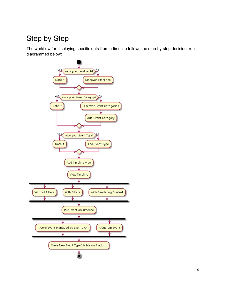## <span id="page-4-0"></span>Step by Step

The workflow for displaying specific data from a timeline follows the step-by-step decision tree diagrammed below:

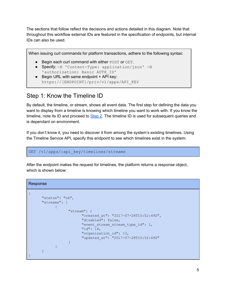The sections that follow reflect the decisions and actions detailed in this diagram. Note that throughout this workflow external IDs are featured in the specification of endpoints, but internal IDs can also be used.

When issuing curl commands for platform transactions, adhere to the following syntax:

- Begin each curl command with either POST or GET.
- Specify: -H 'Content-Type: application/json' -H 'authorization: Basic AUTH\_ID'
- Begin URL with same endpoint + API key: https://[ENDPOINT]/priv/v1/apps/API\_KEY

#### <span id="page-5-0"></span>Step 1: Know the Timeline ID

By default, the timeline, or stream, shows all event data. The first step for defining the data you want to display from a timeline is knowing which timeline you want to work with. If you know the timeline, note its ID and proceed to [Step](#page-6-0) 2. The timeline ID is used for subsequent queries and is dependant on environment.

If you don't know it, you need to discover it from among the system's existing timelines. Using the Timeline Service API, specify this endpoint to see which timelines exist in the system:

```
GET /v1/apps/:api_key/timelines/streams
```
After the endpoint makes the request for timelines, the platform returns a response object, which is shown below:

#### Response

```
{
       "status": "ok",
       "streams": [
              \left\{ \begin{array}{c} 1 \end{array} \right\}"stream": {
                              "created_at": "2017-07-28T15:52:49Z",
                               "disabled": false,
                              "event stream stream type id": 1,
                              "id": 14,
                               "organization_id": 13,
                               "updated_at": "2017-07-28T15:52:49Z"
                       }
               }
       ]
}
```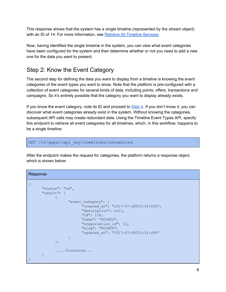This response shows that the system has a single timeline (represented by the *stream* object) with an ID of *14*. For more information, see Retrieve All Timeline [Services.](https://docs.sessionm.com/server2server/#retrieve-all-timeline-services)

Now, having identified the single timeline in the system, you can view what event categories have been configured for the system and then determine whether or not you need to add a new one for the data you want to present.

### <span id="page-6-0"></span>Step 2: Know the Event Category

The second step for defining the data you want to display from a timeline is knowing the event categories of the event types you want to show. Note that the platform is pre-configured with a collection of event categories for several kinds of data, including points, offers, transactions and campaigns. So it's entirely possible that the category you want to display already exists.

If you know the event category, note its ID and proceed to [Step](#page-8-0) 4. If you don't know it, you can discover what event categories already exist in the system. Without knowing the categories, subsequent API calls may create redundant data. Using the Timeline Event Types API, specify this endpoint to retrieve all event categories for all timelines, which, in this workflow, happens to be a single timeline:

GET /v1/apps/:api key/timelines/categories

After the endpoint makes the request for categories, the platform returns a response object, which is shown below:

#### Response

```
{
      "status": "ok",
      "result": [
             \left\{ \right."event category": {
                          "created_at": "2017-07-28T15:52:49Z",
                           "description": null,
                           "id": 118,
                           "name": "POINTS",
                           "organization_id": 13,
                           "slug": "POINTS",
                           "updated_at": "2017-07-28T15:52:49Z"
                    }
             },
             .....Truncated...
      ]
}
```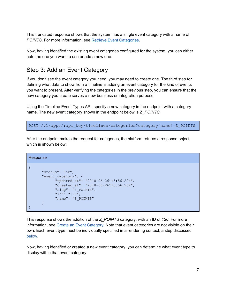This truncated response shows that the system has a single event category with a name of *POINTS*. For more information, see Retrieve Event [Categories](https://docs.sessionm.com/server2server/#retrieve-event-categories).

Now, having identified the existing event categories configured for the system, you can either note the one you want to use or add a new one.

#### <span id="page-7-0"></span>Step 3: Add an Event Category

If you don't see the event category you need, you may need to create one. The third step for defining what data to show from a timeline is adding an event category for the kind of events you want to present. After verifying the categories in the previous step, you can ensure that the new category you create serves a new business or integration purpose.

Using the Timeline Event Types API, specify a new category in the endpoint with a category name. The new event category shown in the endpoint below is *Z\_POINTS*:

POST /v1/apps/:api\_key/timelines/categories?category[name]=Z\_POINTS

After the endpoint makes the request for categories, the platform returns a response object, which is shown below:

```
Response
```

```
{
      "status": "ok",
      "event category": {
            "updated_at": "2018-06-26T13:56:20Z",
            "created_at": "2018-06-26T13:56:20Z",
            "slug": "Z_POINTS",
            "id": "120",
            "name": "Z_POINTS"
      }
}
```
This response shows the addition of the *Z\_POINTS* category, with an ID of *120*. For more information, see Create an Event [Category](https://docs.sessionm.com/server2server/#create-an-event-category). Note that event categories are not visible on their own. Each event type must be individually specified in a rendering context, a step discussed [below](#page-15-0).

Now, having identified or created a new event category, you can determine what event type to display within that event category.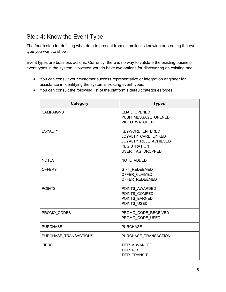### <span id="page-8-0"></span>Step 4: Know the Event Type

The fourth step for defining what data to present from a timeline is knowing or creating the event type you want to show.

Event types are business actions. Currently, there is no way to validate the existing business event types in the system. However, you do have two options for discovering an existing one:

- You can consult your customer success representative or integration engineer for assistance in identifying the system's existing event types.
- You can consult the following list of the platform's default categories/types:

| Category              | <b>Types</b>                                                                                               |
|-----------------------|------------------------------------------------------------------------------------------------------------|
| <b>CAMPAIGNS</b>      | <b>EMAIL OPENED</b><br>PUSH MESSAGE OPENED<br>VIDEO_WATCHED                                                |
| <b>LOYALTY</b>        | KEYWORD_ENTERED<br>LOYALTY CARD LINKED<br>LOYALTY RULE ACHIEVED<br><b>REGISTRATION</b><br>USER_TAG_DROPPED |
| <b>NOTES</b>          | NOTE_ADDED                                                                                                 |
| <b>OFFERS</b>         | GIFT_REDEEMED<br>OFFER CLAIMED<br>OFFER_REDEEMED                                                           |
| <b>POINTS</b>         | POINTS_AWARDED<br>POINTS_COMPED<br>POINTS EARNED<br>POINTS USED                                            |
| PROMO CODES           | PROMO CODE RECEIVED<br>PROMO CODE USED                                                                     |
| <b>PURCHASE</b>       | <b>PURCHASE</b>                                                                                            |
| PURCHASE TRANSACTIONS | PURCHASE TRANSACTION                                                                                       |
| <b>TIERS</b>          | TIER_ADVANCED<br><b>TIER RESET</b><br><b>TIER TRANSIT</b>                                                  |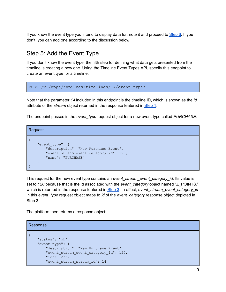If you know the event type you intend to display data for, note it and proceed to [Step](#page-10-0) 6. If you don't, you can add one according to the discussion below.

### <span id="page-9-0"></span>Step 5: Add the Event Type

If you don't know the event type, the fifth step for defining what data gets presented from the timeline is creating a new one. Using the Timeline Event Types API, specify this endpoint to create an event type for a timeline:

```
POST /v1/apps/:api_key/timelines/14/event-types
```
Note that the parameter *14* included in this endpoint is the timeline ID, which is shown as the *id* attribute of the *stream* object returned in the response featured in [Step](#page-5-0) 1.

The endpoint passes in the *event\_type* request object for a new event type called *PURCHASE*.

Request { "event\_type": { "description": "New Purchase Event", "event stream event category id": 120, "name": "PURCHASE" }

This request for the new event type contains an *event* stream event category id. Its value is set to *120* because that is the id associated with the *event\_category* object named "Z\_POINTS," which is returned in the response featured in [Step](#page-7-0) 3. In effect, *event\_stream\_event\_category\_id* in this *event* type request object maps to *id* of the *event* category response object depicted in Step 3.

The platform then returns a response object:

}

```
Response
{
    "status": "ok",
    "event_type": {
        "description": "New Purchase Event",
        "event stream event category id": 120,
        "id": 1235,
        "event_stream_stream_id": 14,
```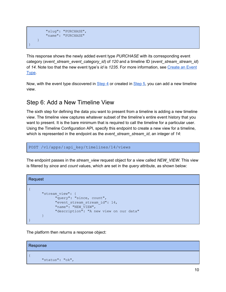```
"slug": "PURCHASE",
        "name": "PURCHASE"
    }
}
```
This response shows the newly added event type *PURCHASE* with its corresponding event category (*event\_stream\_event\_category\_id*) of *120* and a timeline ID (*event\_stream\_stream\_id*) of *14*. Note too that the new event type's *id* is *1235*. For more information, see [Create](https://docs.sessionm.com/server2server/#create-an-event-type) an Event [Type.](https://docs.sessionm.com/server2server/#create-an-event-type)

Now, with the event type discovered in [Step](#page-8-0) 4 or created in [Step](#page-9-0) 5, you can add a new timeline view.

### <span id="page-10-0"></span>Step 6: Add a New Timeline View

The sixth step for defining the data you want to present from a timeline is adding a new timeline view. The timeline view captures whatever subset of the timeline's entire event history that you want to present. It is the bare minimum that is required to call the timeline for a particular user. Using the Timeline Configuration API, specify this endpoint to create a new view for a timeline, which is represented in the endpoint as the *event\_stream\_stream\_id*, an integer of *14*:

POST /v1/apps/:api\_key/timelines/14/views

The endpoint passes in the *stream\_view* request object for a view called *NEW\_VIEW*. This view is filtered by *since* and *count* values, which are set in the *query* attribute, as shown below:

```
Request
{
      "stream_view": {
           "query": "since, count",
            "event_stream_stream_id": 14,
            "name": "NEW VIEW",
            "description": "A new view on our data"
      }
}
```
The platform then returns a response object:

```
Response
{
      "status": "ok",
```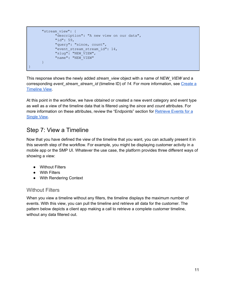```
"stream view": {
           "description": "A new view on our data",
            "id": 59,
            "query": "since, count",
            "event_stream_stream_id": 14,
            "slug": "NEW VIEW",
            "name": "NEW VIEW"
      }
}
```
This response shows the newly added *stream\_view* object with a name of *NEW\_VIEW* and a corresponding *event\_stream\_stream\_id* (timeline ID) of *14*. For more information, see [Create](https://docs.sessionm.com/server2server/#create-a-timeline-view) a [Timeline](https://docs.sessionm.com/server2server/#create-a-timeline-view) View.

At this point in the workflow, we have obtained or created a new event category and event type as well as a view of the timeline data that is filtered using the *since* and *count* attributes. For more information on these attributes, review the "Endpoints" section for **[Retrieve](https://docs.sessionm.com/server2server/#retrieve-events-for-a-single-view) Events for a** [Single](https://docs.sessionm.com/server2server/#retrieve-events-for-a-single-view) View.

#### <span id="page-11-0"></span>Step 7: View a Timeline

Now that you have defined the view of the timeline that you want, you can actually present it in this seventh step of the workflow. For example, you might be displaying customer activity in a mobile app or the SMP UI. Whatever the use case, the platform provides three different ways of showing a view:

- Without Filters
- With Filters
- With Rendering Context

#### <span id="page-11-1"></span>Without Filters

When you view a timeline without any filters, the timeline displays the maximum number of events. With this view, you can pull the timeline and retrieve all data for the customer. The pattern below depicts a client app making a call to retrieve a complete customer timeline, without any data filtered out.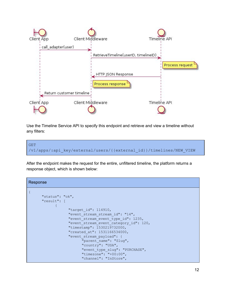

Use the Timeline Service API to specify this endpoint and retrieve and view a timeline without any filters:



After the endpoint makes the request for the entire, unfiltered timeline, the platform returns a response object, which is shown below:

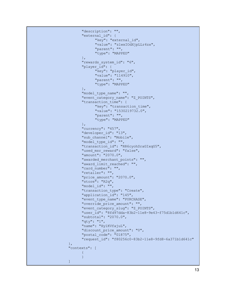```
"description": "",
      "external_id": {
            "key": "external id",
            "value": "zlwxIOdXjpLLr4zx",
            "parent": "",
            "type": "MAPPED"
      },
      "rewards system id": "6",
      "player id": {
            "key": "player id",
            "value": "114910",
            "parent": "",
            "type": "MAPPED"
      },
      "model type name": "",
      "event category name": "Z POINTS",
      "transaction time": {
            "key": "transaction time",
            "value": "1530219732.0",
            "parent": "",
            "type": "MAPPED"
      },
      "currency": "457",
      "developer_id": "13",
      "sub channel": "Mobile",
      "model type id": "",
      "transaction_id": "RR6cyohSraGIxqG5",
      "used_msr_reward": "false",
      "amount": "2070.0",
      "awarded merchant points": "",
      "award limit reached": "",
      "card_number": "",
      "retailer": "",
      "price_amount": "2070.0",
      "store": "R2q",
      "model_id": "",
      "transaction type": "Create",
      "application id": "145",
      "event_type_name": "PURCHASE",
      "override_price_amount": "",
      "event category slug": "Z POINTS",
      "user_id": "8fd97dda-83b2-11e8-9e43-f75d1b1d641c",
      "subtotal": "2070.0",
      "qty": "1",
      "name": "Hy1KVfajuL",
      "discount price amount": "0",
      "postal_code": "01875",
      "request_id": "f80256c0-83b2-11e8-9fd8-6a371b1d641c"
},
"contexts": [
      {
      }
]
```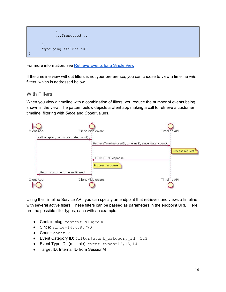

For more information, see [Retrieve](https://docs.sessionm.com/server2server/#retrieve-events-for-a-single-view) Events for a Single View.

If the timeline view without filters is not your preference, you can choose to view a timeline *with* filters, which is addressed below.

#### <span id="page-14-0"></span>With Filters

When you view a timeline with a combination of filters, you reduce the number of events being shown in the view. The pattern below depicts a client app making a call to retrieve a customer timeline, filtering with *Since* and *Count* values.



Using the Timeline Service API, you can specify an endpoint that retrieves and views a timeline with several active filters. These filters can be passed as parameters in the endpoint URL. Here are the possible filter types, each with an example:

- Context slug: context slug=ABC
- Since: since=1484585770
- $\bullet$  Count: count=2
- Event Category ID: filter [event category id]=123
- Event Type IDs (multiple): event types=12,13,14
- Target ID: Internal ID from SessionM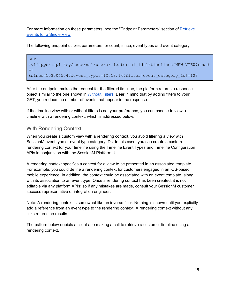For more information on these parameters, see the "Endpoint Parameters" section of [Retrieve](https://docs.sessionm.com/server2server/#retrieve-events-for-a-single-view) [Events](https://docs.sessionm.com/server2server/#retrieve-events-for-a-single-view) for a Single View.

The following endpoint utilizes parameters for count, since, event types and event category:

GET /v1/apps/:api\_key/external/users/{{external\_id}}/timelines/NEW\_VIEW?count =1 &since=1530045547&event\_types=12,13,14&filter[event\_category\_id]=123

After the endpoint makes the request for the filtered timeline, the platform returns a response object similar to the one shown in [Without](#page-11-1) Filters. Bear in mind that by adding filters to your GET, you reduce the number of events that appear in the response.

If the timeline view with or without filters is not your preference, you can choose to view a timeline with a rendering context, which is addressed below.

#### <span id="page-15-0"></span>With Rendering Context

When you create a custom view with a rendering context, you avoid filtering a view with SessionM event type or event type category IDs. In this case, you can create a custom rendering context for your timeline using the Timeline Event Types and Timeline Configuration APIs in conjunction with the SessionM Platform UI.

A rendering context specifies a context for a view to be presented in an associated template. For example, you could define a rendering context for customers engaged in an iOS-based mobile experience. In addition, the context could be associated with an event template, along with its association to an event type. Once a rendering context has been created, it is not editable via any platform APIs; so if any mistakes are made, consult your SessionM customer success representative or integration engineer.

Note: A rendering context is somewhat like an inverse filter. Nothing is shown until you explicitly add a reference from an event type to the rendering context. A rendering context without any links returns no results.

The pattern below depicts a client app making a call to retrieve a customer timeline using a rendering context.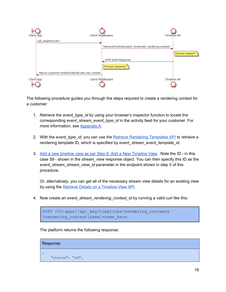

The following procedure guides you through the steps required to create a rendering context for a customer:

- 1. Retrieve the *event\_type\_id* by using your browser's inspector function to locate the corresponding *event\_stream\_event\_type\_id* in the activity feed for your customer. For more information, see Appendix A.
- 2. With the *event\_type\_id*, you can use the Retrieve Rendering [Templates](https://docs.sessionm.com/server2server/#retrieve-rendering-templates) API to retrieve a rendering template ID, which is specified by *event\_stream\_event\_template\_id*.
- 3. Add a new timeline view as per Step 6: Add a New [Timeline](#page-10-0) View. Note the ID in this case *59* - shown in the *stream\_view* response object. You can then specify this ID as the *event\_stream\_stream\_view\_id* parameter in the endpoint shown in step 5 of this procedure.

Or, alternatively, you can get all of the necessary stream view details for an existing view by using the Retrieve Details on a [Timeline](https://docs.sessionm.com/server2server/#retrieve-details-on-a-timeline-view) View API.

4. Now create an *event\_stream\_rendering\_context\_id* by running a valid curl like this:

```
POST /v1/apps/:api_key/timelines/rendering_contexts
?rendering_context[name]=name_here
```
The platform returns the following response:

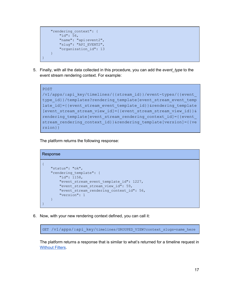```
"rendering_context": {
       "id": 56,
        "name": "api:event2",
        "slug": "API EVENT2",
        "organization_id": 13
    }
}
```
5. Finally, with all the data collected in this procedure, you can add the *event\_type* to the event stream rendering context. For example:

```
POST
/v1/apps/:api_key/timelines/{{stream_id}}/event-types/{{event_
type id}}/templates?rendering template[event stream event temp
late id]={{event stream event template id}}&rendering template
[event stream stream view id]={{event stream stream view id}} &
rendering template[event stream rendering context id]={{event
stream rendering context id}}&rendering template[version]={{ve
rsion}}
```
The platform returns the following response:

```
Response
{
    "status": "ok",
    "rendering template": {
        "id": 1158,
        "event stream event template id": 1227,
        "event stream stream view id": 59,
        "event stream rendering context id": 56,
        "version": 1
    }
}
```
6. Now, with your new rendering context defined, you can call it:

GET /v1/apps/:api key/timelines/GROUPED VIEW?context slugs=name here

The platform returns a response that is similar to what's returned for a timeline request in [Without](#page-11-1) Filters.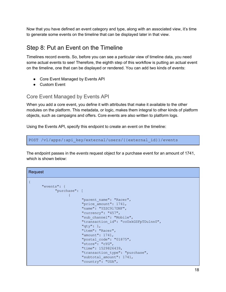Now that you have defined an event category and type, along with an associated view, it's time to generate some events on the timeline that can be displayed later in that view.

### <span id="page-18-0"></span>Step 8: Put an Event on the Timeline

Timelines record events. So, before you can see a particular view of timeline data, you need some actual events to see! Therefore, the eighth step of this workflow is putting an actual event on the timeline, one that can be displayed or rendered. You can add two kinds of events:

- Core Event Managed by Events API
- Custom Event

#### <span id="page-18-1"></span>Core Event Managed by Events API

When you add a core event, you define it with attributes that make it available to the other modules on the platform. This metadata, or logic, makes them integral to other kinds of platform objects, such as campaigns and offers. Core events are also written to platform logs.

Using the Events API, specify this endpoint to create an event on the timeline:

```
POST /v1/apps/:api_key/external/users/{{external_id}}/events
```
The endpoint passes in the *events* request object for a purchase event for an amount of 1741, which is shown below:

#### Request

| "events": {   |                                       |
|---------------|---------------------------------------|
| "purchase": [ |                                       |
|               |                                       |
|               | "parent name": "Racer",               |
|               | "price amount": 1741,                 |
|               | "name": "YZSC917DNF",                 |
|               | "currency": " $457"$ ,                |
|               | "sub channel": "Mobile",              |
|               | "transaction id": "coUxkGSFpTDu1nn0", |
|               | " $qty"$ : 1,                         |
|               | "item": "Racer",                      |
|               | "amount": $1741,$                     |
|               | "postal $code$ ": "01875",            |
|               | "store": "cYG",                       |
|               | "time": 1529826439,                   |
|               | "transaction type": "purchase",       |
|               | "subtotal amount": 1741,              |
|               | "country": "USA",                     |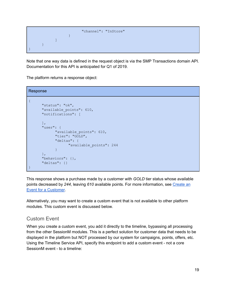```
"channel": "InStore"
                    }
             ]
      }
}
```
Note that one way data is defined in the request object is via the SMP Transactions domain API. Documentation for this API is anticipated for Q1 of 2019.

The platform returns a response object:

Response { "status": "ok", "available\_points": 610, "notifications": [  $\vert$ , "user": { "available\_points": 610, "tier": "GOLD", "deltas": { "available\_points": 244 } }, "behaviors": {}, "deltas": {} }

This response shows a purchase made by a customer with *GOLD* tier status whose available points decreased by 244, leaving 610 available points. For more information, see [Create](https://docs.sessionm.com/server2server/#create-an-event-for-a-customer) an Event for a [Customer.](https://docs.sessionm.com/server2server/#create-an-event-for-a-customer)

Alternatively, you may want to create a custom event that is not available to other platform modules. This custom event is discussed below.

#### <span id="page-19-0"></span>Custom Event

When you create a custom event, you add it directly to the timeline, bypassing all processing from the other SessionM modules. This is a perfect solution for customer data that needs to be displayed in the platform but NOT processed by our system for campaigns, points, offers, etc. Using the Timeline Service API, specify this endpoint to add a custom event - not a core SessionM event - to a timeline: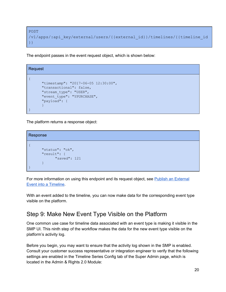```
POST
/v1/apps/:api_key/external/users/{{external_id}}/timelines/{{timeline_id
}}
```
The endpoint passes in the event request object, which is shown below:

```
Request
{
      "timestamp": "2017-06-05 12:30:00",
      "transactional": false,
      "stream_type": "USER",
      "event_type": "YPURCHASE",
      "payload": {
      }
}
```
The platform returns a response object:

Response { "status": "ok", "result": { "saved": 121 } }

For more information on using this endpoint and its request object, see Publish an [External](https://docs.sessionm.com/server2server/#publish-an-external-event-into-a-timeline) Event into a [Timeline.](https://docs.sessionm.com/server2server/#publish-an-external-event-into-a-timeline)

With an event added to the timeline, you can now make data for the corresponding event type visible on the platform.

### <span id="page-20-0"></span>Step 9: Make New Event Type Visible on the Platform

One common use case for timeline data associated with an event type is making it visible in the SMP UI. This ninth step of the workflow makes the data for the new event type visible on the platform's activity log.

Before you begin, you may want to ensure that the activity log shown in the SMP is enabled. Consult your customer success representative or integration engineer to verify that the following settings are enabled in the Timeline Series Config tab of the Super Admin page, which is located in the Admin & Rights 2.0 Module: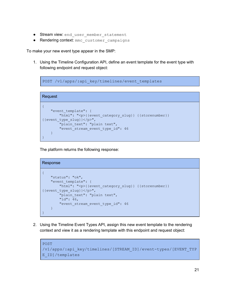- **Stream view:** end user member statement
- Rendering context: mmc\_customer\_campaigns

To make your new event type appear in the SMP:

1. Using the Timeline Configuration API, define an event template for the event type with following endpoint and request object:

POST /v1/apps/:api\_key/timelines/event\_templates

```
Request
{
    "event_template": {
       "html": "<p>{{event category slug}} {{storenumber}}
{{event_type_slug}}</p>",
        "plain text": "plain text",
        "event stream event type id": 46
   }
}
```
The platform returns the following response:

```
Response
{
   "status": "ok",
   "event_template": {
       "html": "<p>{{event_category_slug}} {{storenumber}}
{{event_type_slug}}</p>",
       "plain text": "plain text",
       "id": 46,
      "event stream event type id": 46
   }
}
```
2. Using the Timeline Event Types API, assign this new event template to the rendering context and view it as a rendering template with this endpoint and request object:

```
POST
/v1/apps/:api_key/timelines/[STREAM_ID]/event-types/[EVENT_TYP
E_ID]/templates
```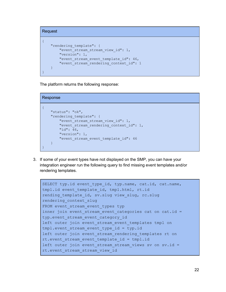```
Request
{
    "rendering_template": {
      "event stream stream view id": 1,
        "version": 1,
        "event stream event template id": 46,
        "event_stream_rendering_context_id": 1
    }
}
```
The platform returns the following response:

```
Response
```

```
{
   "status": "ok",
    "rendering_template": {
        "event_stream_stream_view_id": 1,
        "event_stream_rendering_context_id": 1,
        "id": 46,
        "version": 1,
        "event stream event template id": 46
    }
}
```
3. If some of your event types have not displayed on the SMP, you can have your integration engineer run the following query to find missing event templates and/or rendering templates.

```
SELECT typ.id event type id, typ.name, cat.id, cat.name,
tmpl.id event template id, tmpl.html, rt.id
rending template id, sv.slug view slug, rc.slug
rendering_context_slug
FROM event stream event types typ
inner join event stream event categories cat on cat.id =
typ.event stream event category id
left outer join event stream event templates tmpl on
tmpl.event stream event type id = typ.id
left outer join event stream rendering templates rt on
rt.event stream event template id = tmpl.id
left outer join event stream stream views sv on sv.id =rt.event_stream_stream_view_id
```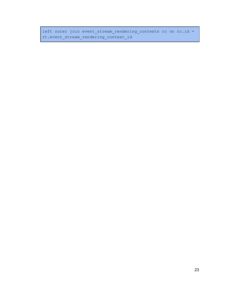left outer join event\_stream\_rendering\_contexts rc on rc.id = rt.event\_stream\_rendering\_context\_id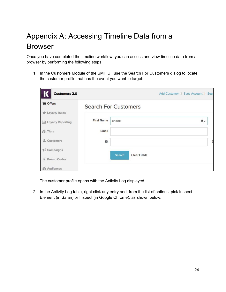## <span id="page-24-0"></span>Appendix A: Accessing Timeline Data from a Browser

Once you have completed the timeline workflow, you can access and view timeline data from a browser by performing the following steps:

1. In the Customers Module of the SMP UI, use the Search For Customers dialog to locate the customer profile that has the event you want to target:

| <b>Customers 2.0</b>   |                   | Add Customer   Sync Account   Sear |
|------------------------|-------------------|------------------------------------|
| <b>P</b> Offers        |                   | <b>Search For Customers</b>        |
| <b>食 Loyalty Rules</b> |                   |                                    |
| Ill Loyalty Reporting  | <b>First Name</b> | andee<br>$\mathbf{L}$              |
| <b>&amp;</b> Tiers     | Email             |                                    |
| Customers<br>盀         | ID                |                                    |
| $\lnot$ Campaigns      |                   |                                    |
| 4 Promo Codes          |                   | Search<br><b>Clear Fields</b>      |
| <b>@</b> Audiences     |                   |                                    |

The customer profile opens with the Activity Log displayed.

2. In the Activity Log table, right click any entry and, from the list of options, pick Inspect Element (in Safari) or Inspect (in Google Chrome), as shown below: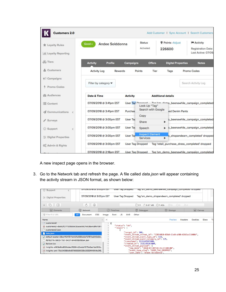| <b>Customers 2.0</b>      |                            |                 |                                           |                           |                           | Add Customer   Sync Account   Search Customers |
|---------------------------|----------------------------|-----------------|-------------------------------------------|---------------------------|---------------------------|------------------------------------------------|
| <b>食 Loyalty Rules</b>    | Andee Solddonna<br>$Good*$ |                 | <b>Status</b><br>Activated                | Points - Adjust<br>226600 |                           | Activity<br><b>Registration Date:</b>          |
| dil Loyalty Reporting     |                            |                 |                                           |                           |                           | Last Active: 07/09/                            |
| <b>So</b> Tiers           | <b>Activity</b><br>Profile | Campaigns       | <b>Offers</b>                             |                           | <b>Digital Properties</b> | <b>Notes</b>                                   |
| & Customers               | <b>Activity Log</b>        | Rewards         | Points<br>Tier                            | Tags                      |                           | Promo Codes                                    |
| $\mathbb{R}$ Campaigns    |                            |                 |                                           |                           |                           |                                                |
| Promo Codes               | Filter by category ▼       |                 |                                           |                           |                           | Search Activity Log                            |
| <b><i>@</i></b> Audiences | Date & Time                | <b>Activity</b> |                                           | <b>Additional details</b> |                           |                                                |
| Content                   | 07/09/2018 @ 3:41pm EST    |                 | User Tag Dronnad<br>Look Up "Tag"         |                           |                           | The lem domo_beenawhile_campaign_completed     |
| Communications            | 07/09/2018 @ 3:41pm EST    | Purchas         | Search with Google                        |                           | led Denim Pants           |                                                |
| Surveys                   | 07/09/2018 @ 3:00pm EST    | <b>User Tac</b> | Copy<br>Share                             | ▶                         |                           | p_beenawhile_campaign_completed                |
| © Support<br>€            | 07/09/2018 @ 3:00pm EST    | <b>User Tac</b> | Speech                                    | ь                         |                           | b_beenawhile_campaign_completed                |
| 三 Digital Properties      | 07/09/2018 @ 3:00pm EST    | <b>User Tac</b> | <b>Inspect Element</b><br><b>Services</b> | ь                         |                           | p_shopandearn_completed' dropped               |
| Co Admin & Rights         | 07/09/2018 @ 3:00pm EST    |                 | <b>User Tag Dropped</b>                   |                           |                           | Tag 'retail_purchase_dress_completed' dropped  |
|                           | 07/09/2018 @ 2:18pm EST    |                 | <b>User Tag Dropped</b>                   |                           |                           | Tag 'sm_demo_beenawhile_campaign_completed     |

A new inspect page opens in the browser.

3. Go to the Network tab and refresh the page. A file called *data.json* will appear containing the activity stream in JSON format, as shown below:

| © Support                                               | <b>ONOSIZUIO @ 3.00DIII ES</b> | osel Tay Diopped               |                                                                                    | <u>iag siil aeilio beeliamille calibalgii collibieted diobbed</u> |                                                  |
|---------------------------------------------------------|--------------------------------|--------------------------------|------------------------------------------------------------------------------------|-------------------------------------------------------------------|--------------------------------------------------|
| <b>E</b> Digital Properties                             | 07/09/2018 @ 3:00pm EST        | <b>User Tag Dropped</b>        |                                                                                    | Tag 'sm_demo_shopandearn_completed' dropped                       |                                                  |
| 石<br>$\times$                                           | Ĉ,<br>$\circledcirc$           |                                | □ 51 △ 9.87 MB                                                                     | $\bigcirc$ 1.42s<br>目。<br>00                                      | $\triangle$ o                                    |
| HA Elements                                             | $(1†)$ Network                 | (1)<br>Timelines               | Debugger                                                                           | <b>吕</b> Storage                                                  | AA Canvas                                        |
| Filter Full URL                                         | CSS<br>Document<br>All         | <b>JS</b><br>Image<br>Font     | <b>XHR</b><br>Other                                                                |                                                                   |                                                  |
| Name                                                    |                                | ×<br>$\mathcal{N}$             |                                                                                    | Preview                                                           | Cookies<br>Tir<br><b>Headers</b><br><b>Sizes</b> |
| o customers2                                            |                                |                                |                                                                                    |                                                                   |                                                  |
| rsi customers2-dbdb2f277326b5b03cace5927e538a4c8fe1087. |                                | "status": "ok",<br>"result": [ |                                                                                    |                                                                   |                                                  |
| customers2.json                                         |                                |                                |                                                                                    |                                                                   |                                                  |
| m<br>data.json                                          |                                |                                | "target id": 600,                                                                  | "event_stream_stream_id": "12024010-83b0-11e8-a506-0242ac11000d", |                                                  |
| default-avatar-28ce1f547211a4b7a3595a5e72787ca045b3d    |                                |                                | "event_stream_event_type_id": 533,                                                 |                                                                   |                                                  |
| f676277e-5603-11e7-9437-6446f8bf80a4.json               |                                |                                | "event stream event category id": 125,                                             |                                                                   |                                                  |
| favicon.ico                                             |                                | 10                             | "timestamp": 1531165287000,<br>"created at": 1531165287000,                        |                                                                   |                                                  |
| rsi insights-e063e8bd650ddea76364c2bebd1575a5ae1de350c  |                                | 11                             | "event_stream_payload": {                                                          |                                                                   |                                                  |
|                                                         |                                | 12                             | "taq_date": "2018-07-09T19:41:27+00:00",<br>"event_type_sluq": "USER_TAG_DROPPED", |                                                                   |                                                  |
| (s) insights-pmi-75c54068b9d67368580330c2832f44904c5f8  |                                |                                | "user name": "Andee Solddonna"                                                     |                                                                   |                                                  |